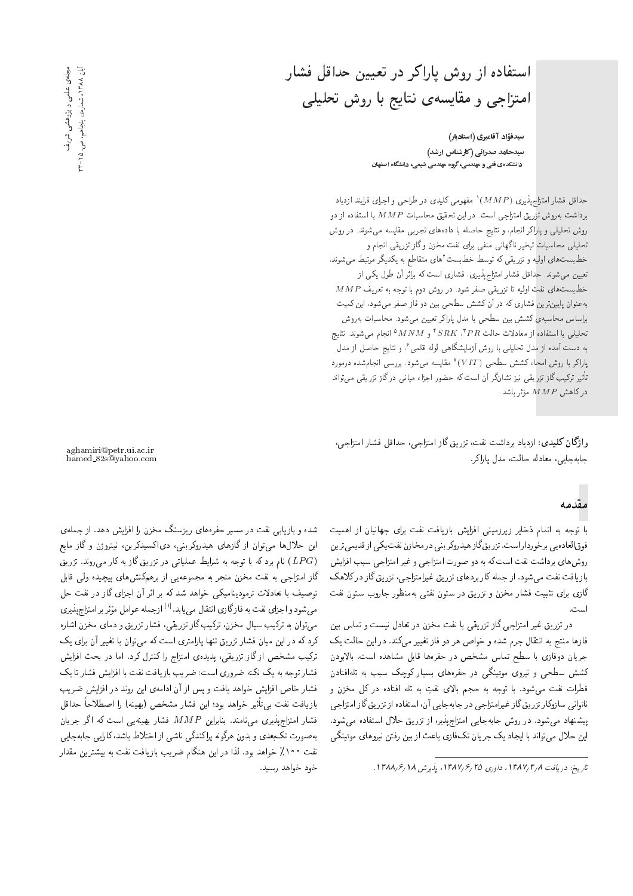## استفاده از روش یاراکر در تعیین حداقل فشار امتزاجی و مقایسهی نتایج با روش تحلیلی

سیدفؤاد آقامیری (استادیار) سیدحامد صدرائی (کارشناس ارشد) دانشکدهی فنی و مهندسی، گروه مهندسی شیمی، دانشگاه اصفهان

حداقل فشار امتزاج پذیری ( $\mathit{MMP}$ ) مفهومی کلیدی در طراحی و اجرای فرایند ازدیاد برداشت بهروش تزریق امتزاجی است. در این تحقیق محاسبات  $MMP$  با استفاده از دو روش تحلیلی و پاراکر انجام، و نتایج حاصله با دادههای تجرببی مقایسه می شوند. در روش تحلیلی محاسبات تبخیر ناگهانی منفی برای نفت مخزن و گاز تزریقی انجام و خط بست های اولیه و تزریقی که توسط خط بست<sup>۲</sup>های متقاطع به یکدیگر مرتبط میشوند، تعیین می شوند. حداقل فشار امتزاج پذیری، فشاری است که براثر آن طول یکی از  $\overline{MMP}$  خط بست های نفت اولیه تا تزریقی صفر شود. در روش دوم با توجه به تعریف به عنوان پایین ترین فشاری که در آن کشش سطحی بین دو فاز صفر می شود، این کمیت براساس محاسبهى كشش بين سطحي با مدل ياراكر تعيين مى شود. محاسبات به روش تحليلى با استفاده از معادلات حالت  $GRK$  "،  $SRR^{\ast}$  و  $MMM$  انجام مى شوند. نتايج به دست آمده از مدل تحلیلی با روش آزمایشگاهی لوله قلمی<sup>ع</sup>، و نتایج حاصل از مدل پاراکر با روش امحاء کشش سطحی (VIT)° مقایسه میشود. بررسی انجامشده درمورد تأثیر ترکیب گاز تزریقی نیز نشانگر آن است که حضور اجزاء میانی درگاز تزریقی می<mark>تواند</mark>  $\mu_{M,P}$  مؤثر باشد.<br>

واژگان كليدي: ازدياد برداشت نفت، تزريق گاز امتزاجي، حداقل فشار امتزاجي، جابهجايى، معادله حالت، مدل ياراكر.

#### مقدمه

با توجه به اتمام ذخاير زيرزميني افزايش بازيافت نفت براى جهانيان از اهميت فوق العادهيي برخوردار است. تزريق گاز هيدروكر بني در مخازن نفت يكي از قديمي ترين روش های برداشت نفت است که به دو صورت امتزاجی و غیر امتزاجی سبب افزایش بازیافت نفت می شود. از جمله کاربردهای تزریق غیرامتزاجی، تزریق گاز درکلاهک گازی برای تثبیت فشار مخزن و تزریق در ستون نفتی بهمنظور جاروب ستون نفت است.

در تزریق غیر امتزاجی گاز تزریقی با نفت مخزن در تعادل نیست و تماس بین فازها منتج به انتقال جرم شده و خواص هر دو فاز تغییر میکند. در این حالت یک جریان دوفازی با سطح تماس مشخص در حفرهها قابل مشاهده است. بالابودن کشش سطحی و نیروی موئینگی در حفرههای بسیار کوچک سبب به تلهافتادن قطرات نفت میشود. با توجه به حجم بالای نفتِ به تله افتاده در کل مخزن و ناتوانی سازوکار تزریق گاز غیرامتزاجی در جابهجایی آن، استفاده از تزریق گاز امتزاجی پیشنهاد می شود. در روش جابه جایی امتزاج پذیر، از تزریق حلال استفاده می شود. این حلال می تواند با ایجاد یک جریان تکفاری باعث از بین رفتن نیروهای موئینگی

aghamiri@petr.ui.ac.ir hamed 82s@yahoo.com

شده و بازیابی نفت در مسیر حفرههای ریزسنگ مخزن را افزایش دهد. از جملهی این حلال ها می توان از گازهای هیدروکربنی، دیاکسیدکربن، نیتروژن و گاز مایع نام برد که با توجه به شرایط عملیاتی در تزریق گاز به کار می $(LPG)$ گاز امتزاجی به نفت مخزن منجر به مجموعه یی از برهمکنش های پیچیده ولمی قابل توصيف با تعادلات ترموديناميكي خواهد شدكه بر اثر أن اجزاى گاز در نفت حل میشود و اجزای نفت به فازگاری انتقال می بابد.<sup>[۱]</sup> ازجمله عوامل مؤثر بر امتزاج پذیری<br>. می توان به ترکیب سیال مخزن، ترکیب گاز تزریقی، فشار تزریق و دمای مخزن اشاره کرد که در این میان فشار تزریق تنها پارلمتری است که می توان با تغییر آن برای یک ترکیب مشخص از گاز تزریقی، پدیدهی امتزاج را کنترل کرد. اما در بحث افزایش فشار توجه به یک نکته ضروری است: ضریب بازیافت نفت با افزایش فشار تا یک فشار خاص افزایش خواهد یافت و پس از آن ادامهی این روند در افزایش ضریب بازيافت نفت بى،تأثير خواهد بود؛ اين فشار مشخص (بهينه) را اصطلاحاً حداقل فشار امتزاج پذیری می،نامند. بنابراین  $M P$  فشار بهینهیی است که اگر جریان به صورت تک بعدی و بدون هرگونه پراکندگی ناشی از اختلاط باشد، کارایی جابهجایی نفت ۱۰۰٪ خواهد بود. لذا در این هنگام ضریب بازیافت نفت به بیشترین مقدار خود خواهد رسيد.

تاريخ: دريافت ١٣٨٧/٢٨، داورى ٢٥ /١٣٨٧، پذيرش ١٨ /١٣٨٨.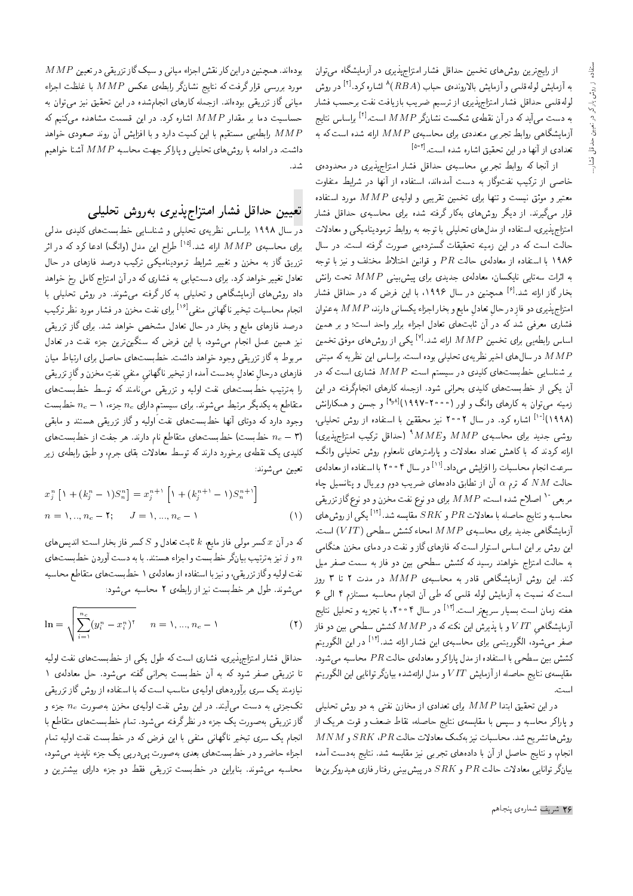از رایج ترین روش های تخمین حداقل فشار امتزاج پذیری در آزمایشگاه می توان به آزمایش لولهقلمی و آزمایش بالاروندهی حباب  $(RBA)$ اشاره کرد. $^{[1]}$  در روش لولهقلمی حداقل فشار امتزاج پذیری از ترسیم ضریب بازیافت نفت برحسب فشار به دست می $\vec{I}$ ید که در آن نقطهی شکست نشانگر $M P$  است. $\vec{I}$  براساس نتایج ترمایشگاهی روابط تجربی متعددی برای محاسبهی  $MMP$  ارائه شده است که به تعدادی از آنها <mark>د</mark>ر این تحقیق اشاره شده است.<sup>[۵-۳]</sup>

از آنجا که روابط تجربی محاسبهی حداقل فشار امتزاجپذیری در محدودهی خاصبی از ترکیب نفتوگار به دست آمدهاند. استفاده از آنها در شرایط متفاوت معتبر و موثق نیست و تنها برای تخمین تقریبی و اولیهی  $MMP$  مورد استفاده قرار میگیرند. از دیگر روشهای بهکار گرفته شده برای محاسبهی حداقل فشار امتزاج پذیری، استفاده از مدل های تحلیلی با توجه به روابط ترمودینامیکی و معادلات حالت است که در این زمینه تحقیقات گستردهیی صورت گرفته است. در سال ۱۹۸۶ با استفاده از معادلهى حالت  $PR$  و قوانين اختلاط مختلف و نيز با توجه به اثرات سهتایی نایکسان، معادلهی جدیدی برای پیشبینی  $M P$  تحت رانش بخار گاز ارائه شد.<sup>[۶]</sup> همچنین در سال ۱۹۹۶، با این فرض که در حداقل فشار امتزاج پذيرى دو فازِ در حالِ تعادلِ مايع و بخار اجزاء يكسانى دارند،  $M P$  به عنوان فشاری معرفی شد که در آن ثابتهای تعادل اجزاء برابر واحد است؛ و بر همین اساس رابطهیی برای تخمین  $M P$  ارائه شد. $^{[\nu]}$  یکمی از روشهای موفق تخمین در سال های اخیر نظریهی تحلیلی بوده است. براساس این نظریه که مبتنی  $M P$ بر شناسایی خطبستهای کلیدی در سیستم است،  $M P$  فشاری است که در آن یکی از خطبستهای کلیدی بحرانی شود. ازجمله کارهای انجامگرفته در این زمینه می توان به کارهای وانگ و اور (۲۰۰۰-۱۹۹۷)<sup>[۱٫۸]</sup> و جسن و همکارانش (۱۹۹۸)<sup>[۱۰]</sup> اشاره کرد. در سال ۲۰۰۲ نیز محققین با استفاده از روش تحلیلی،  $\left\{Q_{\rm opt}^{\rm max}\right\}$ روشی جدید برای محاسبه $\mu$  و $M$   $M$   $\in$   $\left\{MRE\right\}$  (حداقل ترکیب امتزاج $\mu$ ارائه کردند که با کاهش تعداد معادلات و پارامترهای نامعلوم روش تحلیلی وانگ، سرعت انجام محاسبات را افزایش میداد.<sup>[۱۱]</sup> در سال ۴ ° ۲۰ با استفاده از معادلهی حالت  $NM$  که ترم  $\alpha$  آن از تطابق دادههای ضریب دوم ویریال و پتانسیل چاه مربعی  $^{\circ}$  اصلاح شده است،  $MAP$  برای دو نوع نفت مخزن و دو نوع گاز تزریقی محاسبه و نتایج حاصله با معادلات  $PR$  و  $SRK$  مقایسه شد. $^{\left[ \lceil \mathfrak{Y} \rceil \right]}$ یکی از روش های "آزمایشگاهی جدید برای محاسبهی MMP امحاء کشش سطحی (VIT) است. این روش بر این اساس استوار است که فازهای گاز و نفت در دمای مخزن هنگامی به حالت امتزاج خواهند رسید که کشش سطحی بین دو فاز به سمت صفر میل کند. این روش آزمایشگاهی قادر به محاسبهی  $MMP$  در مدت ۲ تا ۳ روز است که نسبت به آزمایش لوله قلمی که طی آن انجام محاسبه مستلزم ۴ الی ۶ هفته زمان است بسیار سریعتر است.<sup>[۱۲]</sup> در سال ۴°°۲، با تجزیه و تحلیل نتایج آزمایشگاهی  $VIT$  و با پذیرش این نکته که در  $MMP$  کشش سطحی بین دو فاز صفر میشود، الگوریتمی برای محاسبهی این فشار ارائه شد.<sup>[۱۲]</sup> در این الگوریتم كشش بين سطحي با استفاده از مدل پاراكر و معادلهى حالت  $PR$  محاسبه مى شود. مقايسهى نتايج حاصله از آزمايش  $VIT$  و مدل ارائهشده بيانگر توانايي اين الگوريتم است.

 $r_{\rm c}$ در این تحقیق ابتدا  $MAP$  برای تعدادی از مخازن نفتی به دو روش تحلیلی و پاراکر محاسبه و سپس با مقایسهی نتایج حاصله، نقاط ضعف و قوت هریک از  $MNM$  روش ها تشريح شد. محاسبات نيز بەكمك معادلات حالت  $SRK$ ،  $PR$  و انجام، و نتايج حاصل از آن با دادههاى تجربي نيز مقايسه شد. نتايج بهدست آمده  $\mu$ یانگر توانایی معادلات حالت  $PR$  و  $SRK$  در پیش $\omega$ یینی رفتار فازی هیدروکربن ها

 $MMP$  بودهاند. همچنین در این کار نقش اجزاء میانی و سبک گاز تزریقی در تعیین مورد بررسی قرار گرفت که نتایج نشانگر رابطهی عکس  $M P$  با غلظت اجزاء میانی گاز تزریقی بودهاند. ازجمله کارهای انجامشده در این تحقیق نیز میتوان به حساسیت دما بر مقدار  $MMP$  اشاره کرد. در این قسمت مشاهده میکنیم که رابطه بی مستقیم با این کمیت دارد و با افزایش آن روند صعودی خواهد  $M\overline{P}$ داشت. در ادامه با روشهای تحلیلی و پاراکر جهت محاسبه  $MMP$  آشنا خواهیم .<br>شد.

#### تعيين حداقل فشار امتزاج يذيرى بهروش تحليلي

در سال ۱۹۹۸ براساس نظریهی تحلیلی و شناسایی خطبستهای کلیدی مدلی برای محاسبهی MMP ارائه شد.<sup>[۱۵]</sup> طراح این مدل (وانگ) ادعا کرد که در اثر تزریق گاز به مخزن و تغییر شرایط ترمودینامیکی ترکیب درصد فازهای در حال تعادل تغییر خواهد کرد. برای دست یابی به فشاری که در آن امتزاج کامل رخ خواهد داد روش های آزمایشگاهی و تحلیلی به کار گرفته می شوند. در روش تحلیلی با انجام محاسبات تبخیر ناگهانی منفی<sup>[۱۶</sup>] برای نفت مخزن در فشار مورد نظر ترکیب درصد فازهای مایع و بخار در حال تعادل مشخص خواهد شد. برای گاز تزریقی نیز همین عمل انجام میشود، با این فرض که سنگینترین جزء نفت در تعادل مربوط به گاز تزریقی وجود خواهد داشت. خط بست های حاصل برای ارتباط میان فازهاى درحالٍ تعادلٍ بهدست آمده از تبخير ناگهانيِ منفيِ نفتِ مخزن وگازِ تزريقى را بهترتیب خطبستهای نفت اولیه و تزریقی می،نامند که توسط خطبستهای متقاطع به یکدیگر مرتبط می شوند. برای سیستم دارای  $n_c$  جزء،  $n_c - n$  خطبست وجود دارد که دوتای آنها خطبستهای نفت اولیه و گاز تزریقی هستند و مابقی خطبست) خطبست های متقاطع نام دارند. هر جفت از خطبستهای  $n_c - \textbf{r})$ کلیدی یک نقطهی برخورد دارند که توسط معادلات بقای جرم، و طبق رابطهی زیر تعيين مي¢سوند:

$$
x_j^n \left[ \mathbf{1} + (k_j^n - 1) S_n^n \right] = x_j^{n+1} \left[ \mathbf{1} + (k_j^{n+1} - 1) S_n^{n+1} \right]
$$
  

$$
n = 1, ..., n_c - 1; \quad J = 1, ..., n_c - 1 \quad (1)
$$

كه در آن  $x$  كسر مولى فاز مايع،  $k$  ثابت تعادل و  $S$  كسر فاز بخار است؛ انديس هاى و از نیز بهترتیب بیانگر خطبست و اجزاء هستند. با به دست آوردن خطبست های  $n$ نفت اولیه وگاز تزریقی، و نیز با استفاده از معادلهی ۱ خطبست های متقاطع محاسبه می شوند. طول هر خط بست نیز از رابطهی ۲ محاسبه می شود:

$$
\ln = \sqrt{\sum_{i=1}^{n_c} (y_i^n - x_i^n)^{\dagger}} \qquad n = 1, ..., n_c - 1 \tag{1}
$$

حداقل فشار امتزاج پذیری، فشاری است که طول یکی از خطبستهای نفت اولیه تا تزريقي صفر شود كه به آن خطبست بحراني گفته مي شود. حل معادلهي ١ نیازمند یک سری برآوردهای اولیهی مناسب است که با استفاده از روش گاز تزریقی تکجزئی به دست می آیند. در این روش نفت اولیهی مخزن بهصورت  $n_c$  جزء و گاز تزریقی به صورت یک جزء در نظرگرفته میشود. تمام خطبستهای متقاطع با انجام یک سری تبخیر ناگهانی منفی با این فرض که در خطبست نفت اولیه تمام اجزاء حاضرو در خطبست های بعدی به صورت پی،درپی یک جزء ناپدید می شود، محاسبه می شوند. بنابراین در خطبست تزریقی فقط دو جزء دارای بیشترین و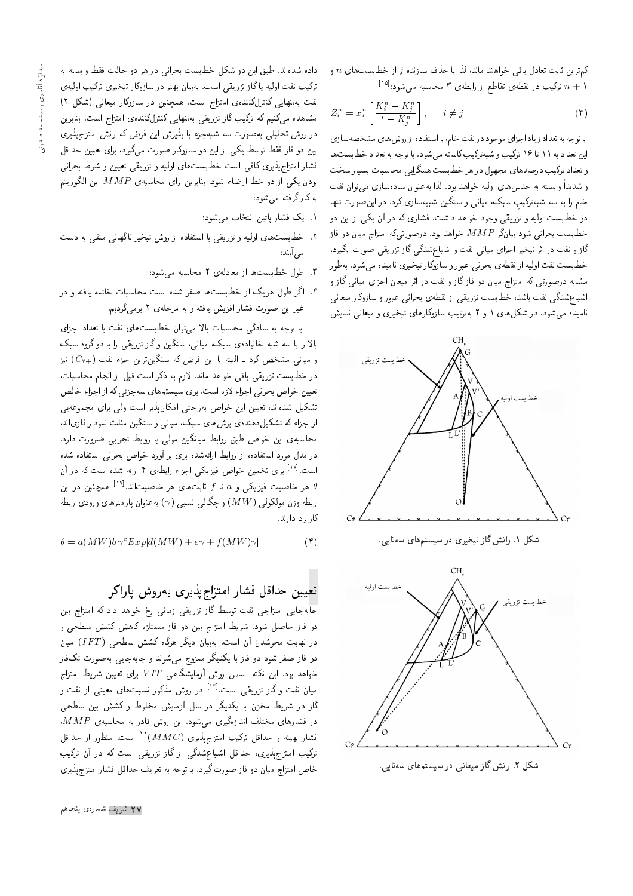كمترين ثابت تعادل باقى خواهند ماند، لذا با حذف سازنده  $j$  از خطبستهاى  $n$  و  $\mathbb{P}^{[n]_2}$ ترکیب در نقطهی تقاطع از رابطهی ۳ محاسبه میشود.  $n+1$ 

$$
Z_i^n = x_i^n \left[ \frac{K_i^n - K_j^n}{1 - K_j^n} \right], \quad i \neq j \tag{7}
$$

با توجه به تعداد زیاد اجزای موجود درنفت خام، با استفاده از روش های مشخصهسازی این تعداد به ۱۱ تا ۱۶ ترکیب و شبه ترکیب کاسته می شود. با توجه به تعداد خط بست ها و تعداد ترکیب درصدهای مجهول در هر خط بست همگرایی محاسبات بسیار سخت و شديداً وابسته به حدسهاى اوليه خواهد بود. لذا بهعنوان سادهسازى مى توان نفت خام را به سه شبهترکیبِ سبک، میان<sub>می</sub> و سنگین شبیهسازی کرد. در این صورت تنها دو خط بست اولیه و تزریقی وجود خواهد داشت. فشاری که در آن یکی از این دو خطبست بحرانبي شود بيانگر  $MAP$  خواهد بود. درصورتي $\lambda$ ه امتزاج ميان دو فار گاز و نفت در اثر تبخیر اجزای میانی نفت و اشباعشدگی گاز تزریقی صورت بگیرد، خطبست نفت اوليه از نقطهي بحراني عبور و سازوكار تبخيري ناميده مي شود. بهطور مشابه درصورتی که امتزاج میان دو فازگاز و نفت در اثر میعان اجزای میانی گاز و |شباع شدگی نفت باشد، خطبست تزریقی از نقطهی بحرانی عبور و سازوکار میعانی نامیده می شود. در شکلهای ۱ و ۲ بهترتیب سازوکارهای تبخیری و میعانی نمایش





داده شدهاند. طبق این دو شکل خطبست بحرانی در هر دو حالت فقط وابسته به تركيب نفت اوليه يا گاز تزريقي است. بهبيان بهتر در سازوكار تبخيري تركيب اوليهي نفت بهتنهایی کنترلکنندهی امتزاج است. همچنین در سازوکار میعانی (شکل ۲) مشاهده میکنیم که ترکیب گاز تزریقی بهتنهایی کنترلکنندهی امتزاج است. بنابراین در روش تحلیلی به صورت سه شبهجزء با پذیرش این فرض که رانش امتزاج پذیری بین دو فاز فقط توسط یکی از این دو سازوکار صورت میگیرد، برای تعیین حداقل فشار امتزاج پذیری کافی است خطبستهای اولیه و نزریقی تعیین و شرط بحرانی  $s$ بودن یکی از دو خط ارضاء شود. بنابراین برای محاسبه $M P$  این الگوریتم به کارگرفته می شود:

- ۰۱ یک فشار یائین انتخاب می شود؛
- ۲. خط بست های اولیه و تزریقی با استفاده از روش تیخیر ناگهانی منفی به دست مبر آمند؛
	- ۳. طول خطبستها از معادلهی ۲ محاسبه می شود؛
- ۴. اگر طول هریک از خطبستها صفر شده است محاسبات خاتمه یافته و **د**ر غیر این صورت فشار افزایش یافته و به مرحلهی ۲ برمیگردیم.

با توجه به سادگی محاسبات بالا می توان خطبستهای نفت با تعداد اجزای بالا را با سه شبه خانوادهی سبک، مبانی، سنگین و گاز تزریقی را با دو گروه سبک و میانی مشخص کرد ـ البته با این فرض که سنگینترین جزء نفت (+cv) نیز در خط بست تزریقی باقی خواهد ماند. لازم به ذکر است قبل از انجام محاسبات، تعیین خواص بحرانی اجزاء لازم است. برای سیستم های سهجزئی که از اجزاء خالص تشکیل شدهاند، تعیین این خواص بهراحتی امکان پذیر است ولی برای مجموعهیی از اجزاء که تشکیل دهندهی برش های سبک، میانی و سنگین مثلث نمودار فازی اند، محاسبهى اين خواص طبق روابط ميانگين مولى يا روابط تجربى ضرورت دارد. در مدل مورد استفاده، از روابط ارائهشده برای بر آورد خواص بحرانی استفاده شده است.<sup>[۱۷]</sup> برای تخمین خواص فیزیکی اجزاء رابطهی ۴ ارائه شده است که <mark>در</mark> آن هر خاصیت فیزیکی و  $a$  تا $f$  ثابت $d$ ای هر خاصیتاند. $\theta$ ا همچنین در این  $\theta$ رابطه وزن مولکولی (  $MW$ ) و حگالی نسبی ( $\gamma$ ) به عنوان پارامترهای ورودی رابطه كاربرد دارند.

$$
\theta = a(MW)b\gamma^{c}Exp[d(MW) + e\gamma + f(MW)\gamma]
$$
 (†)

تعيبين حداقل فشار امتزاج يذيري بهروش ياراكر

جابهجایی امتزاجی نفت توسط گاز تزریقی زمانی رخ خواهد داد که امتزاج بین دو فاز حاصل شود. شرایط امتزاج بین دو فاز مستلزم کاهش کشش سطحی و در نهایت محوشدن آن است. بهبیان دیگر هرگاه کشش سطحی (IFT) میان دو فاز صفر شود دو فاز با یکدیگر ممزوج می شوند و جابهجایی بهصورت تکفاز خواهد بود. این نکته اساس روش آزمایشگاهی  $T$   $V$  برای تعیین شرایط امتزاج میان نفت و گاز تزریقی است.<sup>[۱۳]</sup> در روش مذکور نسبتهای معینی از نفت و گاز در شرایط مخزن با یکدیگر در سل آزمایش مخلوط و کشش بین سطحی  $\overline{MMP}$  در فشارهای مختلف اندازهگیری می شود. این روش قادر به محاسبه $MPP$ ، فشار بهينه و حداقل تركيب امتزاج پذيرى (MMC) <sup>١١</sup> است. منظور از حداقل ترکیب امتزاج پذیری، حداقل اشباعشدگی از گاز تزریقی است که در آن ترکیب خاص امتزاج میان دو فاز صورت گیرد. با توجه به تعریف حداقل فشار امتزاج پذیری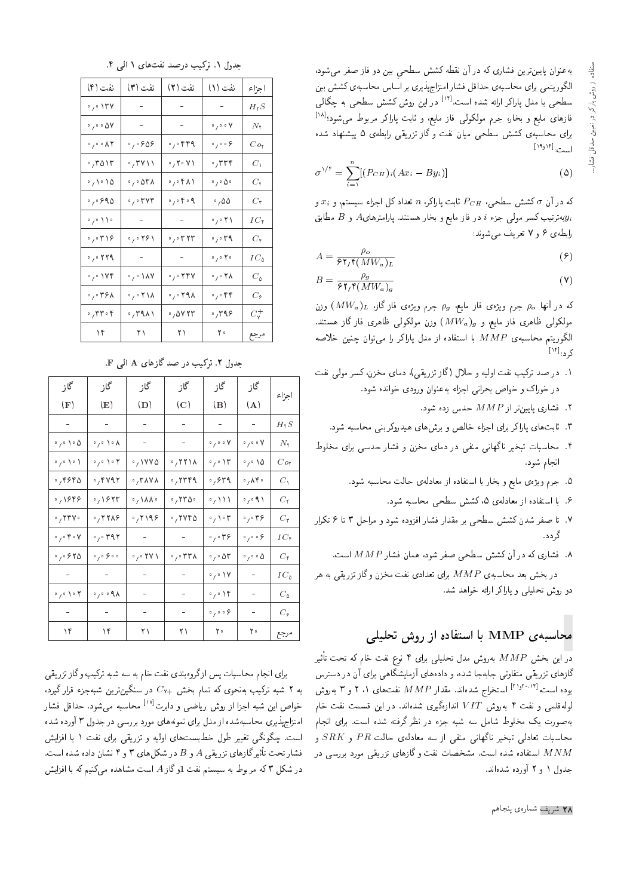به عنوان پایین ترین فشاری که در آن نقطه کشش سطحی بین دو فاز صفر می شود، الگوریتمی برای محاسبهی حداقل فشار امتزاج پذیری بر اساس محاسبهی کشش بین سطحی با مدل پاراکر ارائه شده است.<sup>[۱۲]</sup> در این روش کشش سطحی به چگال<sub>ی</sub> فازهای مایع و بخار، جرم مولکولی فاز مایع، و ثابت پاراکر مربوط میشود؛<sup>[۱۸]</sup> برای محاسبهی کشش سطحی میان نفت و گاز تزریقی رابطهی ۵ پیشنهاد شده است:<sup>[۱۹</sup>٬<sup>۱۴]</sup>

$$
\sigma^{\vee\dagger} = \sum_{i=1}^{n} [(P_{CH})_i (Ax_i - By_i)] \tag{0}
$$

که در آن  $\sigma$  کشش سطحی،  $P_{CH}$  ثابت پاراکر،  $n$  تعداد کل اجزاء سیستم، و  $x_i$  و بهترتیب کسر مولمی جزء i در فاز مایع و بخار هستند. پارامترهای $A$  و  $B$  مطابق $y_i$ رابطه ع و ۷ تعریف مه شوند:

$$
A = \frac{\rho_o}{\mathcal{F}\mathbf{Y}_f\mathbf{f}(MW_a)_L} \tag{9}
$$

$$
B = \frac{\rho_g}{\mathfrak{F}\mathfrak{f}_f\mathfrak{f}(MW_a)_g} \tag{V}
$$

که در آنها  $\rho_{\sigma}$  جرم ویژهی فاز مایع،  $\rho_{g}$  جرم ویژهی فاز گاز،  $(MW_{a})_{L}$  وزن . مولکولی ظاهری فاز مایع، و  $(MW_a)_g$  وزن مولکولی ظاهری فاز گاز هستند. الكوريتم محاسبهى MMP با استفاده از مدل پاراكر را مى توان چنين خلاصه کرد:<sup>[۱۴]</sup>

- ۰۱ در صد ترکیب نفت اولیه و حلال (گاز تزریقی)، دمای مخزن، کسر مولی نفت در خوراک و خواص بحرانبی اجزاء به عنوان ورودی خوانده شود.
	- . فشارى يايينتر از  $\emph{MMP}$  حدس زده شود.
	- ۳. ثابت های پاراکر برای اجزاء خالص و برش های هیدروکربنی محاسبه شود.
- ۴. محاسبات تبخیر ناگهانی منفی در دمای مخزن و فشار حدسی برای مخلوط انجام شود.
	- ۵. جرم ویژهی مایع و بخار با استفاده از معادلهی حالت محاسبه شود.
		- ۶. با استفاده از معادلهی ۵، کشش سطحی محاسبه شود.
- V. تا صفر شدن کشش سطحی بر مقدار فشار افزوده شود و مراحل ۳ تا ۶ تکرار گ دد.
	- . فشارى كه در آن كشش سطحى صفر شود، همان فشار  $MMP$  است.

 $\alpha$ در بخش بعد محاسبهى  $M P$  براى تعدادى نفت مخزن وگاز تزريقى به هر دو روش تحلیلی و یاراکر ارائه خواهد شد.

### محاسبهی  ${\rm MMP}$  با استفاده از روش تحلیلی

در این بخش  $M P$  بهروش مدل تحلیلی برای ۴ نوع نفت خام که تحت تأثیر گازهای تزریقی متفاوتی جابهجا شده، و دادههای آزمایشگاهی برای آن در دسترس بوده است،اً ۲٬۱۰٬۱۰۱ استخراج شدهاند. مقدار  $MMP$  نفت $\mathbf{s}$ ای ۲٬۱۱ و ۳ بهروش لوله قلمی و نفت ۴ بهروش VIT اندازهگیری شدهاند. در این قسمت نفت خام به صورت یک مخلوط شامل سه شبه جزء در نظر گرفته شده است. برای انجام محاسبات تعادلبي تبخير ناگهاني منفي از سه معادلهي حالت  $PR$  و  $SRK$  و استفاده شده است. مشخصات نفت وگازهای تزریقی مورد بررسی در  $MNM$ جدول ۱ و ۲ آورده شدهاند.

جدول ١. تركيب درصد نفت هاى ١ الى ٤.

| نفت (۴)                                                  | نفت (۳)                                           | نفت (۲)                                   | نفت (۱)                                                        | اجزاء              |
|----------------------------------------------------------|---------------------------------------------------|-------------------------------------------|----------------------------------------------------------------|--------------------|
| ۱۳۷ ق                                                    | $\sigma_{\rm{eff}}$                               | $\sim$                                    | $\sim 10^{-1}$                                                 | $H$ $\mathcal{S}$  |
| $\circ$ , $\circ$ $\circ$ $\Delta\mathrm{V}$             | $\sim 10^{-1}$                                    | $\gamma \rightarrow \gamma$ .             | $^{\circ}$ / $^{\circ}$ $^{\circ}$ $^{\prime}$                 | $N_{\mathfrak{k}}$ |
| $\phi$ , $\phi$ , $\phi$ , $\chi$                        | ۰٫۰۶۵۶                                            | $\cdot$ , $\cdot$ ۴۴۹                     | $\mathcal{S}_{\mathcal{A}}$ , $\mathcal{S}_{\mathcal{A}}$      | $_{Co_7}$          |
| ۰٫۳۵۱۳                                                   | ٬٫۳۷۱۱                                            | $\phi$ / ۲ $\phi$ ۷ ۱                     | ٬٫۳۳۴                                                          | $C_{\lambda}$      |
| ۱۵ ۱۵ ک                                                  | ۳۸ه پ                                             | ٬٫۰۴۸۱                                    | $^\circ$ / $^\circ$ $\Delta$ $^\circ$                          | $C_7$              |
| ۶۹۵ پ                                                    | $\mathord{\circ}_f \mathord{\circ} \mathsf{r}$ yr | $\circ$ / $\circ$ $\circ$ $\circ$ $\circ$ | $^\circ$ , 55                                                  | $C_{\mathsf{T}}$   |
| $\gamma \circ \mathcal{W}$                               | $\sim 10^{-11}$                                   | $\alpha \rightarrow \alpha$               | $\mathcal{O}_f \circ \mathcal{F}$                              | $IC_{\mathcal{C}}$ |
| ۲۱۶م, ۰                                                  | ۲۶۱ ق                                             | $\cdot$ , $\cdot$ ۳ ۲۳                    | ۳۹ ق ره                                                        | $C_{\mathfrak{k}}$ |
| $\cdot$ , $\cdot$ ۲۲۹                                    | $\sim$                                            | $\sim$ $-$                                | $\circ$ / $\circ$ $\uparrow \circ$                             | $IC_{\wedge}$      |
| $\mathcal{O}_{\mathcal{F}}\circ\mathcal{V}$ ۴            | $\mathcal{O}_f \circ \Lambda N$                   | ۲۴۷ ق                                     | $\mathord{\circ}_f \mathord{\circ} \mathord{\uparrow} \lambda$ | $C_{\Delta}$       |
| ٬٫۰۳۶۸                                                   | ۲۱۸ ۰٫۰                                           | $\circ$ , $\circ$ ۲۹۸                     | $\cdot$ , $\cdot$ ۴۴                                           | $C_{\mathcal{F}}$  |
| $\cdot$ , $\mathsf{r}$ $\mathsf{r}$ $\cdot$ $\mathsf{r}$ | ٬٫۳۹۸۱                                            | ۰٫۵۷۲۳                                    | ٬٫۳۹۶                                                          | $C_{\rm Y}^+$      |
| $\mathcal{M}$                                            | $\mathbf{Y}$                                      | $\uparrow$ $\uparrow$                     | $\Upsilon$ .                                                   | مرجع               |

جدول ٢. تركيب در صد گازهاي A الى F.

| گاز                                    | گاز                                                               | گاز                    | گاز                                       | گاز                                 | گاز                                                       |                    |
|----------------------------------------|-------------------------------------------------------------------|------------------------|-------------------------------------------|-------------------------------------|-----------------------------------------------------------|--------------------|
| (F)                                    | (E)                                                               | (D)                    | $\mathbf{(}C\mathbf{)}$                   | $\bf (B)$                           | (A)                                                       | اجزاء              |
|                                        |                                                                   |                        |                                           |                                     |                                                           | $H$ r $S$          |
| ∘ / ∘ ∖ ∘ ∆                            | ∘'∘ /∘ γ                                                          |                        |                                           | $\circ$ , $\circ$ o $\mathsf{V}$    | $\mathord{\circ}$ , $\mathord{\circ}$ o $\mathsf{V}$      | $N_{\mathsf{r}}$   |
| いいい                                    | $\cdot$ , $\cdot$ ) $\cdot$ $\cdot$                               | ٬٫۱۷۷۵                 | $\cdot$ , ۲۲۱۸                            | $\cdot$ ، ۱۳                        | ۰٫۰ ۱۵                                                    | Co <sub>1</sub>    |
| ٬٫۴۶۴۵                                 | ٬٫۴۷۹۲                                                            | $\cdot$ , ۳۸۷۸         | $\cdot$ , ۲۳۴۹                            | ۶۳۹ ق                               | $\cdot$ , $\wedge$ $\uparrow$ $\cdot$                     | $C_1$              |
| ۰٫۱۶۴۶                                 | ٬۱۶۲۳                                                             | ◦∕ ∖ ∨ ∨ ∘             | $\cdot$ , ۲۳۵ $\cdot$                     | 。ハハ                                 | $\cdot$ , $\cdot$ ۹ ۱                                     | Сť                 |
| $\cdot$ , $\mathsf{rrv} \cdot$         | $\cdot$ , $\uparrow \uparrow \uparrow \uparrow \uparrow \uparrow$ | ۰٫۲۱۹۶                 | $\cdot$ , $\mathsf{rve}$ $\mathsf{\circ}$ | $\cdot$ , $\cdot$ , $\cdot$         | $\circ$ , $\circ$ ۳۶                                      | $C_{\mathbf{r}}$   |
| $\cdot$ , $\cdot$ ۴ $\cdot$ ۷          | ۴۹۲ ق.ره                                                          | $\sim$                 | $\sim$                                    | $\cdot$ , $\cdot$ ۳۶                | $\mathord{\circ}$ , $\mathord{\circ}$ . $\mathord{\circ}$ | $IC_{\mathcal{C}}$ |
| ۶۲۵ ق.ره                               | ه ه <b>۶</b> م <sub>ر</sub> ه                                     | $\cdot$ , $\cdot$ YY ) | $\cdot$ , $\cdot$ , $\cdot$               | $\cdot$ , $\cdot$ $\circ$ $\circ$   | $\circ$ , $\circ$ $\circ$ $\Delta$                        | $C_{\mathfrak{k}}$ |
|                                        |                                                                   | $\hspace{0.1mm}$       |                                           | $\cdot$ , $\cdot$ \Y                |                                                           | $IC_{\Delta}$      |
| $\circ$ , $\circ$ ) $\circ$ $\uparrow$ | 。,。。 ٩ ٨                                                          | ۰                      | $\blacksquare$                            | ٬٫۰۱۴                               |                                                           | $C_{\Delta}$       |
|                                        |                                                                   |                        |                                           | $\mathcal{O}_f \circ \mathcal{O}_f$ |                                                           | $C_{\varphi}$      |
| ۱۴                                     | ۱۴                                                                | ۲۱                     | ۲۱                                        | ٢٠                                  | ٢۰                                                        | مرجع               |

برای انجام محاسبات پس ازگروهبندی نفت خام به سه شبه ترکیب وگاز تزریقی به ۲ شبه ترکیب بهنحوی که تمام بخش  $_{\rm V+}$  در سنگینترین شبهجزء قرار گیرد، خواص این شبه اجزا از روش ریاضی و <mark>دابرت<sup>[۱۷]</sup> محاسبه میشود. حداقل فشار</mark> امتزاج پذیری محاسبهشده از مدل برای نمونههای مورد بررسی در جدول ۳ آورده شده است. چگونگی تغییر طول خطبستهای اولیه و تزریقی برای نفت ۱ با افزایش فشار تحت تأثیرگازهای تزریقی A و B در شکلهای ۳ و ۴ نشان داده شده است. در شکل ۳ که مربوط به سیستم نفت 1وگاز A است مشاهده میکنیم که با افزایش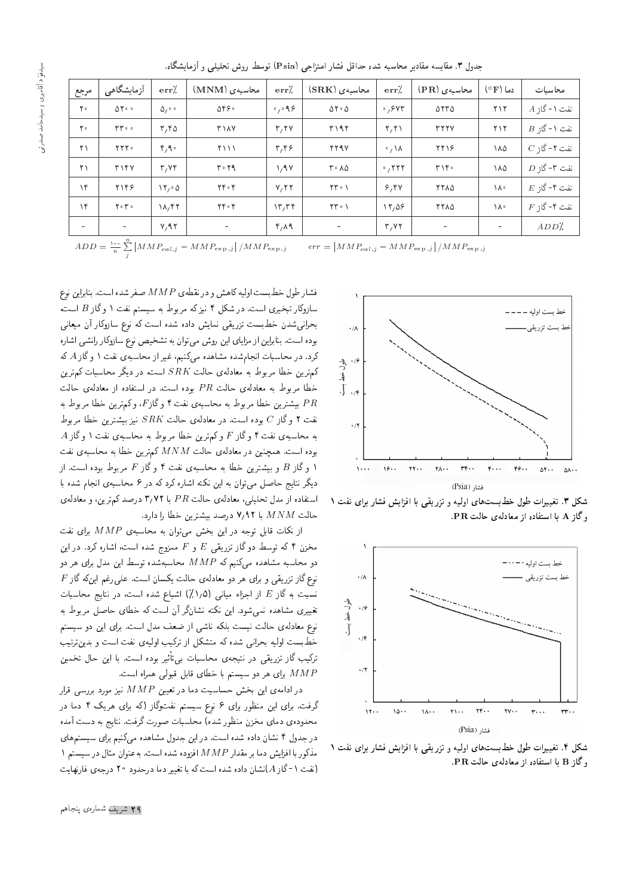| مرجع                     | آزمایشگاهی             | err/                         | محاسبهی (MNM)            | err/                       | محاسبهى (SRK)                         | $err'$ .        | محاسبەی (PR) | $\circ$ دما $\mathbf F$  | محاسبات           |
|--------------------------|------------------------|------------------------------|--------------------------|----------------------------|---------------------------------------|-----------------|--------------|--------------------------|-------------------|
| $\mathbf{r}$ .           | $\Delta Y \circ \circ$ | $\Delta t$ .                 | ۵۴۶۰                     | $\circ$ , $\circ$ 9.8      | $\Delta Y \cdot \Delta$               | .84             | $\Delta$     | ۲۱۲                      | $A$ نفت ۱ - گاز   |
| $\mathbf{Y}$             | $rr \circ \circ$       | $r, r \Delta$                | <b>٣١٨٧</b>              | T, YV                      | ۳۱۹۲                                  | Y, Y            | <b>TYYY</b>  | ۲۱۲                      | $B$ نفت ۱ - گاز:  |
| ۲۱                       | <b>TTT</b> .           | 4.9                          | $\frac{1}{2}$            | $\mathbf{r}, \mathbf{r}$   | <b>TTAV</b>                           | $\cdot/\lambda$ | 7718         | ۱۸۵                      | $C$ نفت ۲-گاز $C$ |
| $\mathsf{r}\setminus$    | T1fV                   | T/Vf                         | $r \cdot r$              | $\lambda$ , 9 $\lambda$    | $r \cdot \lambda \Delta$              | .7777           | ۳۱۴۰         | ١٨٥                      | $D$ نفت ۳- گاز:   |
| $\gamma$ ۴               | <b>7148</b>            | $\mathcal{M}_1 \circ \Delta$ | $YY \circ Y$             | V, YY                      | $\mathsf{Y}\mathsf{Y}\cdot\mathsf{Y}$ | 9,94            | <b>7710</b>  | ١٨٠                      | $E$ نفت ۴-گاز:    |
| $\gamma$                 | $Y \circ Y \circ$      | $\lambda/\gamma$             | $YY \circ Y$             | $\mathcal{N}, \mathcal{N}$ | $\Upsilon \Upsilon \cdot \Upsilon$    | 17,09           | <b>TTAD</b>  | ١٨٠                      | $F$ نفت ۴-گاز $F$ |
| $\overline{\phantom{a}}$ | $\sim$                 | V, 9V                        | $\overline{\phantom{a}}$ | $\mathbf{r}, \mathbf{v}$   | $\overline{\phantom{a}}$              | T/VY            | $\sim$       | $\overline{\phantom{a}}$ | $ADD'$ .          |

جدول ۳. مقایسه مقادیر محاسبه شده حداقل فشار امتزاجی (Psia) توسط روش تحلیلی و آزمایشگاه.

 $ADD = \frac{\lambda}{n} \sum_{i=1}^{n}$ j  $\left| M M P_{cal. j} - M M P_{\rm exp. j} \right| / M M P_{\rm exp. j} \qquad \, err =$  $\left| M M P_{cal,j} - M M P_{\rm exp-j} \right| / M M P_{\rm exp-j}$ 



شکل ۳. تغییرات طول خط بستهای اولیه و تزریقی با افزایش فشار برای نفت ۱  $\textbf{P} \cdot \textbf{P}$ و گاز  $\textbf{A}$  با استفاده از معادله ی حالت



شکا, ۴. تغییرات طول خطبستهای اولیه و تزریقی با افزایش فشار برای نفت ۱  $\textbf{P} \cdot \textbf{P}$ وگاز  $\textbf{B}$  با استفاده از معادلهی حالت

فشار طول خطبست اوليه كاهش و در نقطهي M M صفر شده است. بنابراين نوع سازوکار تبخیری است. در شکل ۴ نیزکه مربوط به سیستم نفت ۱ وگاز B است، بحرانی شدن خطبست تزریقی نمایش داده شده است که نوع سازوکار آن میعانی بوده است. بنابراین از مزایای این روش می توان به تشخیص نوع سازوکار رانشی اشاره کرد. در محاسبات انجامشده مشاهده میکنیم، غیر از محاسبهی نفت ۱ وگاز A که كمترين خطا مربوط به معادلهى حالت  $RRK$  است، در ديگر محاسبات كمترين خطا مربوط به معادلهى حالت  $PR$  بوده است. در استفاده از معادلهى حالت بیشترین خطا مربوط به محاسبهی نفت ۴ وگاز $F$ ، وکمترین خطا مربوط به  $PR$ نفت ۲ وگار  $C$  بوده است. در معادله $d$  حالت  $RK$  نیز بیشترین خطا مربوط  $A$  به محاسبهى نفت ۴ وگاز  $F$  وكم ترين خطا مربوط به محاسبهى نفت ۱ وگاز بوده است. همچنین در معادلهی حالت  $M\,N\,M$  کمترین خطا به محاسبهی نفت ۱ و گاز B و بیشترین خطا به محاسبهی نفت ۴ و گاز  $F$  مربوط بوده است. از ۱ دیگر نتایج حاصل می توان به این نکته اشاره کرد که در ۶ محاسبهی انجام شده با استفاده از مدل تحلیلی، معادلهی حالت  $PR$  با ۳٫۷۲ درصد کم ترین، و معادلهی -حالت  $MNM$  با ۷٬۹۲ درصد بیشترین خطا را دارد

از نکات قابل توجه در این بخش میتوان به محاسبهی  $MMP$  برای نفت مخزن ۴ که توسط دو گاز تزریقی  $E$  و  $F$  ممزوج شده است، اشاره کرد. در این دو محاسبه مشاهده میکنیم که  $M$  M $P$  محاسبهشده توسط این مدل برای هر دو  $F$  وع گاز تزریقی و برای هر دو معادلهی حالت یکسان است. علی رغم اینکه گاز نسبت به گاز E از اجزاء میانی (۱٫۵٪) اشباع شده است. در نتایج محاسبات تغییری مشاهده نمی شود. این نکته نشانگر آن است که خطای حاصل مربوط به نوع معادلهى حالت نيست بلكه ناشى از ضعف مدل است. براى اين دو سيستم خط بست اولیه بحرانی شده که متشکل از ترکیب اولیهی نفت است و بدین ترتیب ترکیب گاز تزریقی در نتیجهی محاسبات بی¢ئیر بوده است. با این حال تخمین برای هر دو سیستم با خطای قابل قبولی همراه است.  $MMP$ 

 $\mathcal{L}_{\mathcal{V}}$ در ادامهی این بخش حساسیت دما در تعیین  $M P$  نیز مورد بررسی قرار گرفت. برای این منظور برای ۶ نوع سیستم نفتوگاز (که برای هریک ۴ دما در محدودهى دماى مخزن منظور شده) محاسبات صورت گرفت. نتايج به دست آمده در جدول ۴ نشان داده شده است. در این جدول مشاهده میکنیم برای سیستمهای مذکور با افزایش دما بر مقدار  $MMP$  افزوده شده است. بهعنوان مثال در سیستم ۱ (نفت ١-گاز A)نشان داده شده است كه با تغيير دما درحدود ٢٥ درجهى فارنهايت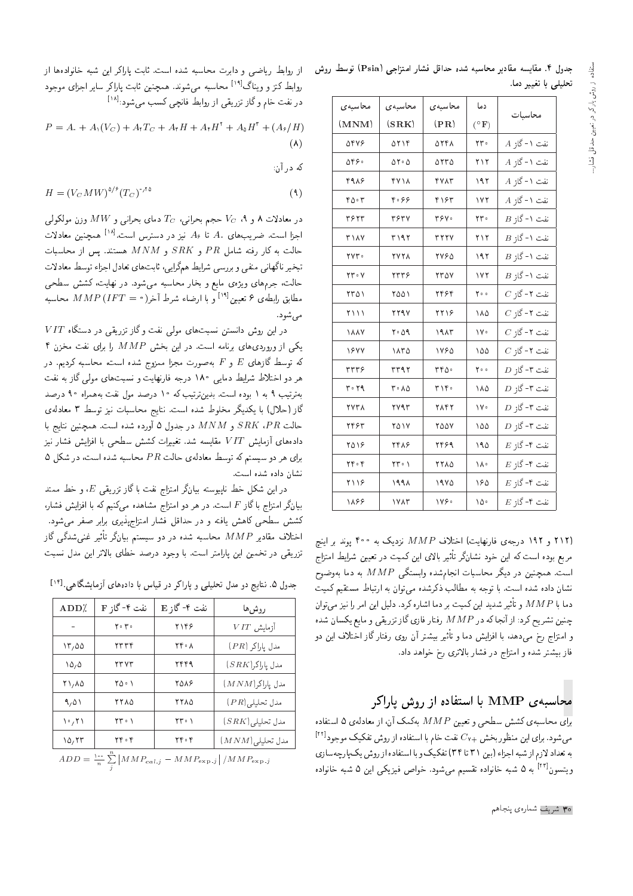| جدول ۴. مقایسه مقادیر محاسبه شده حداقل فشار امتزاجی (Psia) توسط روش |  |                      |
|---------------------------------------------------------------------|--|----------------------|
|                                                                     |  | تحلیلی با تغییر دما. |

| محاسبهى      | محاسبهى                        | محاسبهى         | دما                   | محاسبات         |
|--------------|--------------------------------|-----------------|-----------------------|-----------------|
| (MNM)        | (SRK)                          | $(\mathbf{PR})$ | $(^\circ \mathbf{F})$ |                 |
| 9848         | ۵۲۱۴                           | ۵۲۴۸            | ۲۳۰                   | $A$ نفت ۱ - گاز |
| 0590         | $\Delta \Upsilon \cdot \Delta$ | 0550            | ۲۱۲                   | $A$ نفت ۱ - گاز |
| 4918         | <b>FV14</b>                    | <b>TVAT</b>     | ۱۹۲                   | $A$ نفت ۱ - گاز |
| ۴۵۰۳         | ۴۰۶۶                           | ۴۱۶۳            | ۱۷۲                   | $A$ نفت ۱ - گاز |
| ٣۶٢٣         | <b>٣۶٣٧</b>                    | ٣۶٧٠            | ۲۳.                   | $B$ نفت ۱ - گاز |
| <b>٣١٨٧</b>  | ۳۱۹۲                           | <b>TYYY</b>     | ۲۱۲                   | $B$ نفت ۱ - گاز |
| ٢٧٣٠         | <b>٢٧٢٨</b>                    | <b>7790</b>     | ۱۹۲                   | $B$ نفت ۱ - گار |
| $YY \cdot Y$ | ۲۳۳۶                           | <b>770V</b>     | ۱۷۲                   | $B$ نفت ۱ - گاز |
| ۲۳۵۱         | ۲۵۵۱                           | ۲۴۶۴            | ۰ ه ۲                 | $C$ نفت ۲ - گاز |
| $\gamma$     | <b>TTAV</b>                    | ۲۲۱۶            | ۱۸۵                   | $C$ نفت ۲ - گاز |
| <b>1887</b>  | 09 17                          | ۱۹ ۸۳           | ١٧٠                   | $C$ نفت ۲ - گاز |
| 1844         | ۱۸۳۵                           | ١٧۶۵            | ۱۵۵                   | $C$ نفت ۲ - گاز |
| rrr          | ۳۳۹۲                           | ٣٣٥٠            | 00 م                  | $D$ نفت ۳- گار  |
| $r \cdot r$  | ۰۸۵ تا                         | ۳۱۴۰            | ۱۸۵                   | $D$ نفت ۳- گار  |
| <b>TYTA</b>  | ۲۷۹۳                           | ۲۸۴۲            | ١٧٠                   | $D$ نفت ۳-گاز   |
| ۲۴۶۳         | ۲۵۱۷                           | ۲۵۵۷            | ۱۵۵                   | $D$ نفت ۳- گاز  |
| ۲۵۱۶         | ۲۴۸۶                           | ۲۴۶۹            | ۱۹۵                   | $E$ نفت ۴-گاز   |
| $YY \circ Y$ | $rr \cdot 1$                   | <b>7710</b>     | ١٨٠                   | $E$ نفت ۴–گاز   |
| ۲۱۱۶         | ۱۹۹۸                           | ۱۹۷۵            | ۱۶۵                   | $E$ نفت ۴–گاز   |
| ۱۸۶۶         | ١٧٨٣                           | ۱۷۶۰            | ۱۵۰                   | $E$ :نفت ۴–گا   |

.<br>(<mark>۲۱۲</mark> و ۱۹۲ درجه**ی فارنهایت) اختلاف** MMP نزدیک به ۴۰۰ یوند بر اینچ مربع بوده است که این خود نشانگر تأثیر بالای این کمیت در تعیین شرایط امتزاج است. همچنین در دیگر محاسبات انجامشده وابستگی  $MAP$  به دما بهوضوح نشان داده شده است. با توجه به مطالب ذکرشده می توان به ارتباط مستقیم کمیت دما با  $M\,P$  و تأثير شديد اين كميت بر دما اشاره كرد. دليل اين امر را نيز مي $M\,P$  ا چنین تشریح کرد: از آنجا که در  $M P$  رفتار فازی گاز تزریقی و مایع یکسان شده و امتزاج رخ می،دهد، با افزایش دما و تأثیر بیشتر آن روی رفتار گاز اختلاف این دو فار بیشتر شده و امتزاج در فشار بالاتری رخ خواهد داد.

#### محاسیه MMP با استفاده از روش باراکر

 $\frac{1}{N}$ برای محاسبه ی کشش سطحی و تعیین  $M P$  بهکمک آن، از معادله ی ۵ استفاده میشود. برای این منظور بخش +cv نفت خام با استفاده از روش تفکیک موجود<sup>[۲۲]</sup> به تعداد لازم از شبه اجراء (بين ٣١ تا ٣۴) تفكيك وبا استفاده از روش يك پارچه سازى ویتسون<sup>[۲۲]</sup> به ۵ شبه خانواده تقسیم میشود. خواص فیزیکی این ۵ شبه خانواده

$$
P = A_1 + A_1(V_C) + A_1T_C + A_1H + A_1H^{\dagger} + A_2H^{\dagger} + (A_2/H)
$$
  
(A)

که در آن:

$$
H = (V_C M W)^{\delta/\ell} (T_C)^{\gamma/\delta} \tag{4}
$$

 $\tau_C$  در معادلات ۸ و ۹،  $V_C$  حجم بحرانی،  $T_C$  دمای بحرانی و  $MW$  وزن مولکولی اجزا است. ضریبهای .A تا A، نیز در دسترس است.<sup>[۱۸]</sup> همچنین معادلات حالت به کار رفته شامل  $PR$  و  $SRK$  و  $MNM$  هستند. پس از محاسبات تبخیر ناگهانی منفی و بررسی شرایط همگرایی، ثابت های تعادل اجراء توسط معادلات حالت، جرمهای ویژهی مایع و بخار محاسبه میشود. در نهایت، کشش سطحی مطابق رابطهى ۶ تعيين<sup>[١٩]</sup> و با ارضاء شرط آخر( • MMP (IFT = محاسبه مې شود.

 $VIT$  در این روش دانستن نسبتهای مولی نفت وگاز تزریقی در دستگاه یکی از وروردی های برنامه است. در این بخش MMP را برای نفت مخزن ۴ که توسط گازهای  $E$  و  $F$  بهصورت مجزا ممزوج شده است، محاسبه کردیم. در هر دو اختلاط شرایط دمایی ۱۸۰ درجه فارنهایت و نسبتهای مولی گاز به نفت بهترتیب ۹ به ۱ بوده است. بدینترتیب که ۱۰ درصد مول نفت بههمراه ۹۰ درصد گاز (حلال) با یکدیگر مخلوط شده است. نتایج محاسبات نیز توسط ۳ معادلهی حالت  $S R K$  و  $M N M$  در جدول ۵ آورده شده است. همچنین نتایج با دادههای آزمایش VIT مقایسه شد. تغییرات کشش سطحی با افزایش فشار نیز برای هر دو سیستم که توسط معادلهی حالت  $PR$  محاسبه شده است، در شکل ۵ نشان داده شده است.

در این شکل خط ناپیوسته بیانگر امتزاج نفت با گاز تزریقی  $E$ ، و خط ممتد بیانگر امتزاج با گاز F است. در هر دو امتزاج مشاهده میکنیم که با افزایش فشار، کشش سطحی کاهش یافته و در حداقل فشار امتزاجیذیری برابر صفر می شود. اختلاف مقادیر  $\emph{MMP}$  محاسبه شده در دو سیستم بیانگر تأثیر غنیشدگی گاز تزریقی در تخمین این پارامتر است. با وجود درصد خطای بالاتر این مدل نسبت

جدول ۵. نتایج دو مدل تحلیلی و پاراکر در قیاس با دادههای آزمایشگاهی.<sup>[۱۴]</sup>

| ADD <sub>2</sub>                                                 | نفت ۴-گاز F                           | نفت ۴-گاز E                           | روشءها             |  |  |
|------------------------------------------------------------------|---------------------------------------|---------------------------------------|--------------------|--|--|
|                                                                  | $Y \circ Y \circ$                     | ۲۱۴۶                                  | $VIT$ آزمایش       |  |  |
| 17,00                                                            | ۲۳۳۴                                  | ۲۴۰۸                                  | مدل ياراكر (PR)    |  |  |
| ۱۵٫۵                                                             | <b>TTVT</b>                           | ۲۴۴۹                                  | $(SRK)$ مدل پاراكر |  |  |
| ۲۱,۸۵                                                            | ۲۵۰۱                                  | ۲۵۸۶                                  | $(MNM)$ مدل پاراکر |  |  |
| 9,01                                                             | ۲۲۸۵                                  | ۲۲۸۵                                  | $(PR)$ مدل تحليلي  |  |  |
| $\mathcal{N} \setminus \mathcal{N}$                              | $\mathsf{Y}\mathsf{Y}\cdot\mathsf{Y}$ | $\mathsf{Y}\mathsf{Y}\cdot\mathsf{Y}$ | مدل تحليلي(SRK)    |  |  |
| 10,77                                                            | $YY \circ Y$                          | ۲۴۰۴                                  | $(MNM)$ تحليلي     |  |  |
| $ADD = \sum_{i=1}^{n} MMD$ . $MMD$<br>$\left  \right $ / $MMD$ . |                                       |                                       |                    |  |  |

 $ADD = \frac{100}{n} \sum_{i} | MMP_{cal,j}|$  $-MMP_{\exp,j}|/MMP_{\exp,j}$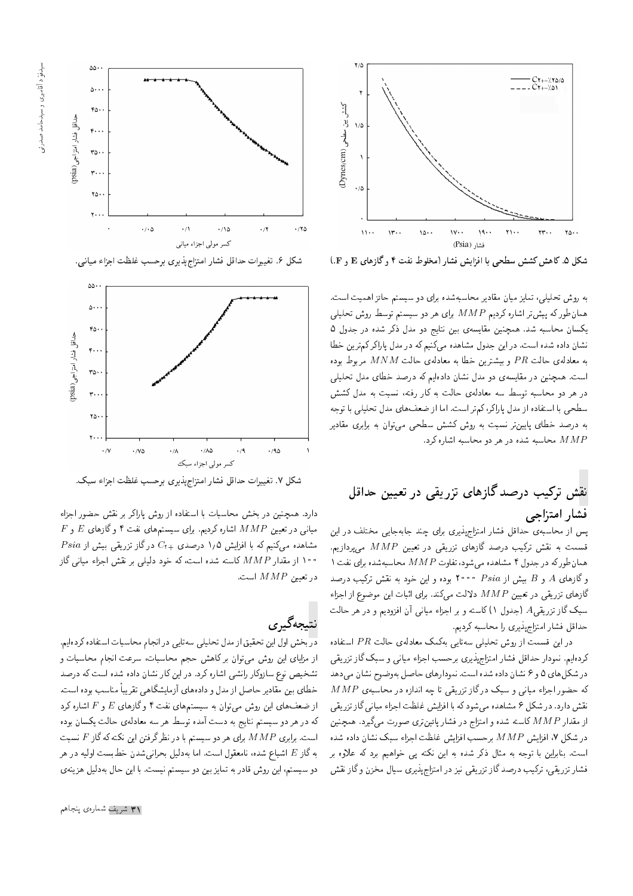

شکل ۵. کاهش کشش سطحی با افزایش فشار (مخلوط نفت ۴ وگازهای E و F.)

به روش تحلیلی، تمایز میان مقادیر محاسبهشده برای دو سیستم حائز اهمیت است. همان $d$ ورکه پیش تر اشاره کردیم  $M P$  برای هر دو سیستم توسط روش تحلیلی یکسان محاسبه شد. همچنین مقایسهی بین نتایج دو مدل ذکر شده در جدول ۵ نشان داده شده است. در این جدول مشاهده میکنیم که در مدل باراکرکمترین خطا به معادلهى حالت  $PR$  و بيشترين خطا به معادلهى حالت  $MNM$  مربوط بوده است. همچنین در مقایسه، دو مدل نشان دادهایم که درصد خطای مدل تحلیلی در هر دو محاسبه توسط سه معادلهی حالت به کار رفته، نسبت به مدل کشش سطحی با استفاده از مدل پاراکر، کمتر است. اما از ضعفهای مدل تحلیلی با توجه به درصد خطای پایینتر نسبت به روش کشش سطحی می<mark>توان به برابری مقادیر</mark> محاسبه شده در هر دو محاسبه اشاره کرد.  $MMP$ 

## نقش ترکیب درصد گازهای تزریقی در تعیین حداقل فشار امتزاجى

یس از محاسبه، حداقل فشار امتزاج پذیری برای چند جابهجایی مختلف در این قسمت به نقش ترکیب درصد گازهای تزریقی در تعیین  $M P$  میپردازیم. ۱ همان طورکه در جدول ۴ مشاهده میشود، تفاوت  $MMP$  محاسبهشده برای نفت وگازهای A و B بیش از Psia °° ۲۰ بوده و این خود به نقش ترکیب درصد گازهای تزریقی در تعیین MMP دلالت میکند. برای اثبات این موضوع از اجزاء سبک گاز تزریقیA (جدول ۱)کاسته و بر اجزاء میانی آن افزودیم و در هر حالت حداقل فشار امتزاج يذيري را محاسبه كرديم.

در این قسمت از روش تحلیلی سهتایی بهکمک معادلهی حالت PR استفاده کردهایم. نمودار حداقل فشار امتزاج بذیری برحسب اجزاء میانی و سبک گاز تزریقی در شکل های ۵ و ۶ نشان داده شده است. نمودارهای حاصل بهوضوح نشان می دهد  $\emph{MAP}$  که حضور اجزاء میانی و سبک در گاز تزریقی تا چه اندازه در محاسبه $\emph{MAP}$ نقش دارد. در شکل ۶ مشاهده می شود که با افزایش غلظت اجزاء میانی گاز تزریقی از مقدار MMP کاسته شده و امتزاج در فشار پائین تری صورت میگیرد. همچنین در شکل ۷، افزایش  $M P$  برحسب افزایش غلظت اجزاء سبک نشان داده شده است. بنابراین با توجه به مثال ذکر شده به این نکته پی خواهیم برد که علاوه بر فشار تزریقی، ترکیب درصد گاز تزریقی نیز در امتزاجپذیری سیال مخزن و گاز نقش



شكل ۶. تغييرات حداقل فشار امتزاجِپذِيري برحسب غلظت اجزاء مياني.



شكل ٧. تغييرات حداقل فشار امتزاجهذيري برحسب غلظت اجزاء سبك.

دارد. همچنین در بخش محاسبات با استفاده از روش پاراکر بر نقش حضور اجزاء  $F$  میانی در تعیین  $\emph{MAP}$  اشاره کردیم. برای سیستمهای نفت ۴ و گازهای  $E$  و  $\it Psia$  مشاهده میکنیم که با افزایش ۱٫۵ درصدی  $C_{\rm t+}$  درگاز تزریقی بیش از ۱۰۰ از مقدار MMP کاسته شده است، که خود دلیلی بر نقش اجزاء میانی گاز در تعیین  $\textit{MMP}$  است.

# نتيجەگيرى

در بخش اول این تحقیق از مدل تحلیلی سه تایی در انجام محاسبات استفاده کردهایم. از مزایای این روش می توان برکاهش حجم محاسبات، سرعت انجام محاسبات و تشخیص نوع سازوکار رانشی اشاره کرد. در این کار نشان داده شده است که درصد خطاي بين مقادير حاصل از مدل و دادههاي أزمايشگاهي تقريباً مناسب بوده است. از ضعفهای این روش میتوان به سیستمهای نفت ۴ وگازهای  $E$  و  $F$  اشاره کرد که در هر دو سیستم نتایج به دست آمده توسط هر سه معادلهی حالت یکسان بوده است. برابری  $M \, M \, P$  برای هر دو سیستم با در نظرگرفتن این نکته که گاز  $F$  نسبت به گاز  $E$  اشباع شده، نامعقول است. اما بهدلیل بحرانیشدن خطبست اولیه در هر دو سیستم، این روش قادر به تمایز بین دو سیستم نیست. با این حال بهدلیل هزینهی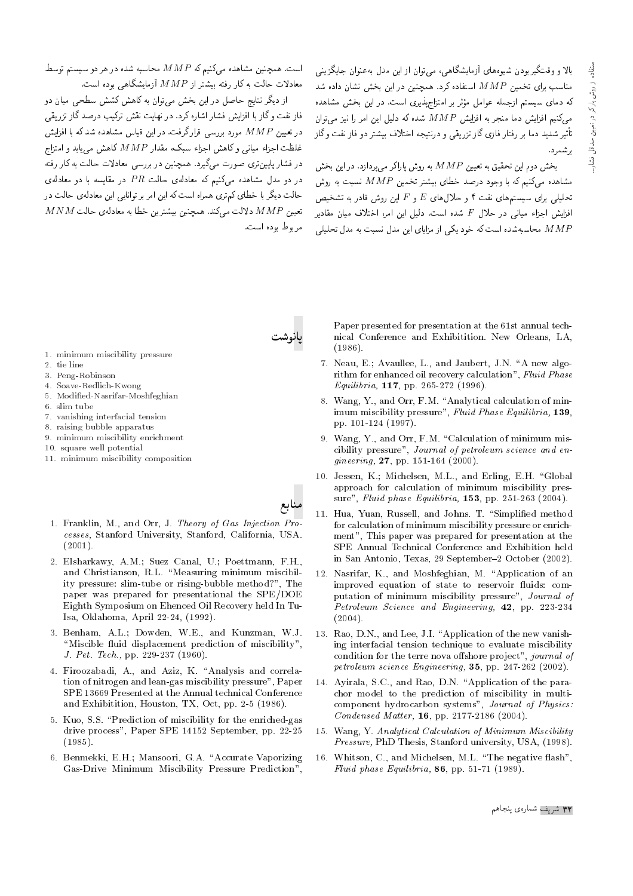بالا و وقتگیربودن شیوههای آزمایشگاهی، می توان از این مدل به عنوان جایگزینی مناسب برای تخمین MMP استفاده کرد. همچنین در این بخش نشان داده شد که دمای سیستم ازجمله عوامل مؤثر بر امتزاجهذیری است. در این بخش مشاهده میکنیم افزایش دما منجر به افزایش  $M P$  شده که دلیل این امر را نیز می $\vec{z}$ ان تأثير شديد دما بر رفتار فازى گاز تزريقى و درنتيجه اختلاف بيشتر دو فاز نفت وگاز ارشمرد.

بخش دوم این تحقیق به تعیین  $M P$  به روش پاراکر می بردازد. در این بخش مشاهده میکنیم که با وجود درصد خطای پیشتر تخمین  $M P$  نسبت به روش تحلیلی برای سیستمهای نفت ۴ و حلال های  $E$  و  $F$  این روش قادر به تشخیص افزایش اجزاء میانی در حلال  $F$  شده است. دلیل این امر، اختلاف میان مقادیر محاسیهشده است که خود یکی از مزایای این مدل نسبت به مدل تحلیلی

است. همچنین مشاهده میکنیم که MMP محاسبه شده در هر دو سیستم توسط معادلات حالت به کار رفته بیشتر از  $\emph{MMP}$  آزمایشگاهه بوده است.

از دیگر نتایج حاصل در این بخش می توان به کاهش کشش سطحی میان دو فاز نفت وگاز با افزایش فشار اشاره کرد. در نهایت نقش ترکیب درصد گاز تزریقی در تعیین  $M P$  مورد بررسی قرار گرفت. در این قیاس مشاهده شد که با افزایش غلظت اجزاء میانی و کاهش اجزاء سبک، مقدار MMP کاهش می باید و امتزاج در فشار پایینتری صورت میگیرد. همچنین در بررسی معادلات حالت به کار رفته در دو مدل مشاهده مه کنیم که معادلهی حالت  $PR$  در مقایسه با دو معادلهی حالت دیگر با خطای کم تری همراه است که این امر بر توانایی این معادلهی حالت در  $M N M$  دلالت میکند. همچنین بیشترین خطا به معادلهی حالت  $M M P$ مربوط بوده است.



- 1. minimum miscibility pressure
- 2. tie line
- 3. Peng-Robinson
- 4. Soave-Redlich-Kwong
- 5. Modified-Nasrifar-Moshfeghian
- 6. slim tube
- 7. vanishing interfacial tension
- 8. raising bubble apparatus
- 9. minimum miscibility enrichment
- 10. square well potential
- 11. minimum miscibility composition
- 1. Franklin, M., and Orr, J. Theory of Gas Injection Processes, Stanford University, Stanford, California, USA.  $(2001).$
- 2. Elsharkawy, A.M.; Suez Canal, U.; Poettmann, F.H., and Christianson, R.L. "Measuring minimum miscibility pressure: slim-tube or rising-bubble method?", The paper was prepared for presentational the SPE/DOE Eighth Symposium on Ehenced Oil Recovery held In Tu-Isa, Oklahoma, April 22-24, (1992).
- 3. Benham, A.L.; Dowden, W.E., and Kunzman, W.J. "Miscible fluid displacement prediction of miscibility", J. Pet. Tech., pp. 229-237 (1960).
- 4. Firoozabadi, A., and Aziz, K. "Analysis and correlation of nitrogen and lean-gas miscibility pressure", Paper SPE 13669 Presented at the Annual technical Conference and Exhibitition, Houston, TX, Oct, pp. 2-5 (1986).
- 5. Kuo, S.S. "Prediction of miscibility for the enriched-gas drive process", Paper SPE 14152 September, pp. 22-25  $(1985)$ .
- 6. Benmekki, E.H.; Mansoori, G.A. "Accurate Vaporizing Gas-Drive Minimum Miscibility Pressure Prediction",

Paper presented for presentation at the 61st annual technical Conference and Exhibitition. New Orleans, LA,  $(1986)$ .

- 7. Neau, E.; Avaullee, L., and Jaubert, J.N. "A new algorithm for enhanced oil recovery calculation", Fluid Phase Equilibria, 117, pp. 265-272 (1996).
- 8. Wang, Y., and Orr, F.M. "Analytical calculation of minimum miscibility pressure", Fluid Phase Equilibria, 139, pp. 101-124 (1997).
- 9. Wang, Y., and Orr, F.M. "Calculation of minimum miscibility pressure", Journal of petroleum science and en $gineering, 27, pp. 151-164 (2000).$
- 10. Jessen, K.; Michelsen, M.L., and Erling, E.H. "Global approach for calculation of minimum miscibility pressure", Fluid phase Equilibria, 153, pp. 251-263 (2004).
- 11. Hua, Yuan, Russell, and Johns. T. "Simplified method for calculation of minimum miscibility pressure or enrichment", This paper was prepared for presentation at the SPE Annual Technical Conference and Exhibition held in San Antonio, Texas, 29 September-2 October (2002).
- 12. Nasrifar, K., and Moshfeghian, M. "Application of an improved equation of state to reservoir fluids: computation of minimum miscibility pressure", Journal of Petroleum Science and Engineering, 42, pp. 223-234  $(2004).$
- 13. Rao, D.N., and Lee, J.I. "Application of the new vanishing interfacial tension technique to evaluate miscibility condition for the terre nova offshore project", journal of petroleum science Engineering, 35, pp. 247-262 (2002).
- 14. Avirala, S.C., and Rao, D.N. "Application of the parachor model to the prediction of miscibility in multicomponent hydrocarbon systems", Journal of Physics: Condensed Matter, 16, pp. 2177-2186 (2004).
- 15. Wang, Y. Analytical Calculation of Minimum Miscibility Pressure, PhD Thesis, Stanford university, USA, (1998).
- 16. Whitson, C., and Michelsen, M.L. "The negative flash", Fluid phase Equilibria, 86, pp. 51-71 (1989).